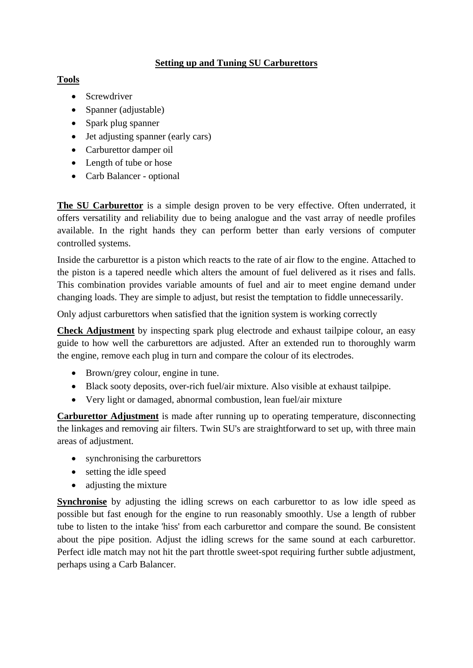## **Setting up and Tuning SU Carburettors**

## **Tools**

- Screwdriver
- Spanner (adjustable)
- Spark plug spanner
- Jet adjusting spanner (early cars)
- Carburettor damper oil
- Length of tube or hose
- Carb Balancer optional

**The SU Carburettor** is a simple design proven to be very effective. Often underrated, it offers versatility and reliability due to being analogue and the vast array of needle profiles available. In the right hands they can perform better than early versions of computer controlled systems.

Inside the carburettor is a piston which reacts to the rate of air flow to the engine. Attached to the piston is a tapered needle which alters the amount of fuel delivered as it rises and falls. This combination provides variable amounts of fuel and air to meet engine demand under changing loads. They are simple to adjust, but resist the temptation to fiddle unnecessarily.

Only adjust carburettors when satisfied that the ignition system is working correctly

**Check Adjustment** by inspecting spark plug electrode and exhaust tailpipe colour, an easy guide to how well the carburettors are adjusted. After an extended run to thoroughly warm the engine, remove each plug in turn and compare the colour of its electrodes.

- Brown/grey colour, engine in tune.
- Black sooty deposits, over-rich fuel/air mixture. Also visible at exhaust tailpipe.
- Very light or damaged, abnormal combustion, lean fuel/air mixture

**Carburettor Adjustment** is made after running up to operating temperature, disconnecting the linkages and removing air filters. Twin SU's are straightforward to set up, with three main areas of adjustment.

- synchronising the carburettors
- setting the idle speed
- adjusting the mixture

**Synchronise** by adjusting the idling screws on each carburettor to as low idle speed as possible but fast enough for the engine to run reasonably smoothly. Use a length of rubber tube to listen to the intake 'hiss' from each carburettor and compare the sound. Be consistent about the pipe position. Adjust the idling screws for the same sound at each carburettor. Perfect idle match may not hit the part throttle sweet-spot requiring further subtle adjustment, perhaps using a Carb Balancer.